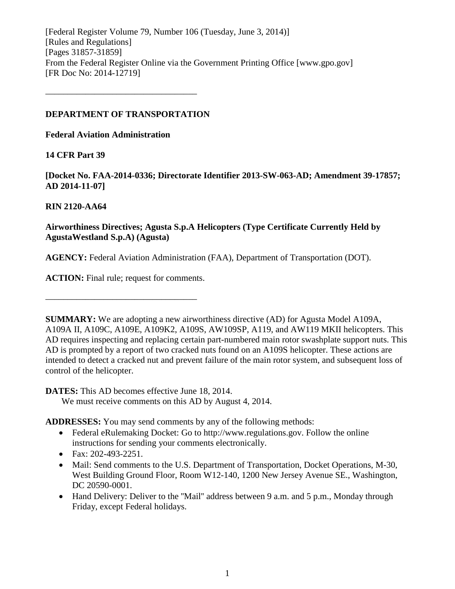[Federal Register Volume 79, Number 106 (Tuesday, June 3, 2014)] [Rules and Regulations] [Pages 31857-31859] From the Federal Register Online via the Government Printing Office [www.gpo.gov] [FR Doc No: 2014-12719]

### **DEPARTMENT OF TRANSPORTATION**

––––––––––––––––––––––––––––––––––

**Federal Aviation Administration**

# **14 CFR Part 39**

**[Docket No. FAA-2014-0336; Directorate Identifier 2013-SW-063-AD; Amendment 39-17857; AD 2014-11-07]**

# **RIN 2120-AA64**

# **Airworthiness Directives; Agusta S.p.A Helicopters (Type Certificate Currently Held by AgustaWestland S.p.A) (Agusta)**

**AGENCY:** Federal Aviation Administration (FAA), Department of Transportation (DOT).

**ACTION:** Final rule; request for comments.

––––––––––––––––––––––––––––––––––

**SUMMARY:** We are adopting a new airworthiness directive (AD) for Agusta Model A109A, A109A II, A109C, A109E, A109K2, A109S, AW109SP, A119, and AW119 MKII helicopters. This AD requires inspecting and replacing certain part-numbered main rotor swashplate support nuts. This AD is prompted by a report of two cracked nuts found on an A109S helicopter. These actions are intended to detect a cracked nut and prevent failure of the main rotor system, and subsequent loss of control of the helicopter.

**DATES:** This AD becomes effective June 18, 2014.

We must receive comments on this AD by August 4, 2014.

**ADDRESSES:** You may send comments by any of the following methods:

- Federal eRulemaking Docket: Go to http://www.regulations.gov. Follow the online instructions for sending your comments electronically.
- Fax: 202-493-2251.
- Mail: Send comments to the U.S. Department of Transportation, Docket Operations, M-30, West Building Ground Floor, Room W12-140, 1200 New Jersey Avenue SE., Washington, DC 20590-0001.
- Hand Delivery: Deliver to the "Mail" address between 9 a.m. and 5 p.m., Monday through Friday, except Federal holidays.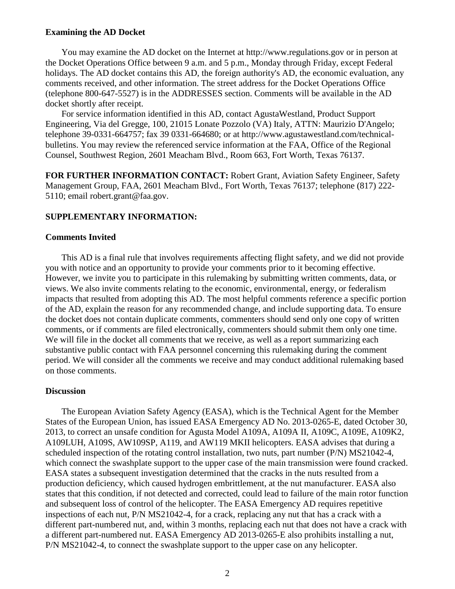#### **Examining the AD Docket**

You may examine the AD docket on the Internet at http://www.regulations.gov or in person at the Docket Operations Office between 9 a.m. and 5 p.m., Monday through Friday, except Federal holidays. The AD docket contains this AD, the foreign authority's AD, the economic evaluation, any comments received, and other information. The street address for the Docket Operations Office (telephone 800-647-5527) is in the ADDRESSES section. Comments will be available in the AD docket shortly after receipt.

For service information identified in this AD, contact AgustaWestland, Product Support Engineering, Via del Gregge, 100, 21015 Lonate Pozzolo (VA) Italy, ATTN: Maurizio D'Angelo; telephone 39-0331-664757; fax 39 0331-664680; or at http://www.agustawestland.com/technicalbulletins. You may review the referenced service information at the FAA, Office of the Regional Counsel, Southwest Region, 2601 Meacham Blvd., Room 663, Fort Worth, Texas 76137.

**FOR FURTHER INFORMATION CONTACT:** Robert Grant, Aviation Safety Engineer, Safety Management Group, FAA, 2601 Meacham Blvd., Fort Worth, Texas 76137; telephone (817) 222- 5110; email robert.grant@faa.gov.

### **SUPPLEMENTARY INFORMATION:**

#### **Comments Invited**

This AD is a final rule that involves requirements affecting flight safety, and we did not provide you with notice and an opportunity to provide your comments prior to it becoming effective. However, we invite you to participate in this rulemaking by submitting written comments, data, or views. We also invite comments relating to the economic, environmental, energy, or federalism impacts that resulted from adopting this AD. The most helpful comments reference a specific portion of the AD, explain the reason for any recommended change, and include supporting data. To ensure the docket does not contain duplicate comments, commenters should send only one copy of written comments, or if comments are filed electronically, commenters should submit them only one time. We will file in the docket all comments that we receive, as well as a report summarizing each substantive public contact with FAA personnel concerning this rulemaking during the comment period. We will consider all the comments we receive and may conduct additional rulemaking based on those comments.

#### **Discussion**

The European Aviation Safety Agency (EASA), which is the Technical Agent for the Member States of the European Union, has issued EASA Emergency AD No. 2013-0265-E, dated October 30, 2013, to correct an unsafe condition for Agusta Model A109A, A109A II, A109C, A109E, A109K2, A109LUH, A109S, AW109SP, A119, and AW119 MKII helicopters. EASA advises that during a scheduled inspection of the rotating control installation, two nuts, part number (P/N) MS21042-4, which connect the swashplate support to the upper case of the main transmission were found cracked. EASA states a subsequent investigation determined that the cracks in the nuts resulted from a production deficiency, which caused hydrogen embrittlement, at the nut manufacturer. EASA also states that this condition, if not detected and corrected, could lead to failure of the main rotor function and subsequent loss of control of the helicopter. The EASA Emergency AD requires repetitive inspections of each nut, P/N MS21042-4, for a crack, replacing any nut that has a crack with a different part-numbered nut, and, within 3 months, replacing each nut that does not have a crack with a different part-numbered nut. EASA Emergency AD 2013-0265-E also prohibits installing a nut, P/N MS21042-4, to connect the swashplate support to the upper case on any helicopter.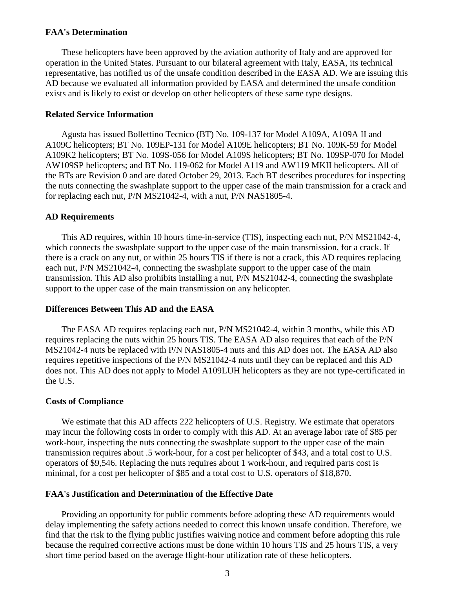#### **FAA's Determination**

These helicopters have been approved by the aviation authority of Italy and are approved for operation in the United States. Pursuant to our bilateral agreement with Italy, EASA, its technical representative, has notified us of the unsafe condition described in the EASA AD. We are issuing this AD because we evaluated all information provided by EASA and determined the unsafe condition exists and is likely to exist or develop on other helicopters of these same type designs.

#### **Related Service Information**

Agusta has issued Bollettino Tecnico (BT) No. 109-137 for Model A109A, A109A II and A109C helicopters; BT No. 109EP-131 for Model A109E helicopters; BT No. 109K-59 for Model A109K2 helicopters; BT No. 109S-056 for Model A109S helicopters; BT No. 109SP-070 for Model AW109SP helicopters; and BT No. 119-062 for Model A119 and AW119 MKII helicopters. All of the BTs are Revision 0 and are dated October 29, 2013. Each BT describes procedures for inspecting the nuts connecting the swashplate support to the upper case of the main transmission for a crack and for replacing each nut, P/N MS21042-4, with a nut, P/N NAS1805-4.

#### **AD Requirements**

This AD requires, within 10 hours time-in-service (TIS), inspecting each nut, P/N MS21042-4, which connects the swashplate support to the upper case of the main transmission, for a crack. If there is a crack on any nut, or within 25 hours TIS if there is not a crack, this AD requires replacing each nut, P/N MS21042-4, connecting the swashplate support to the upper case of the main transmission. This AD also prohibits installing a nut, P/N MS21042-4, connecting the swashplate support to the upper case of the main transmission on any helicopter.

#### **Differences Between This AD and the EASA**

The EASA AD requires replacing each nut, P/N MS21042-4, within 3 months, while this AD requires replacing the nuts within 25 hours TIS. The EASA AD also requires that each of the P/N MS21042-4 nuts be replaced with P/N NAS1805-4 nuts and this AD does not. The EASA AD also requires repetitive inspections of the P/N MS21042-4 nuts until they can be replaced and this AD does not. This AD does not apply to Model A109LUH helicopters as they are not type-certificated in the U.S.

#### **Costs of Compliance**

We estimate that this AD affects 222 helicopters of U.S. Registry. We estimate that operators may incur the following costs in order to comply with this AD. At an average labor rate of \$85 per work-hour, inspecting the nuts connecting the swashplate support to the upper case of the main transmission requires about .5 work-hour, for a cost per helicopter of \$43, and a total cost to U.S. operators of \$9,546. Replacing the nuts requires about 1 work-hour, and required parts cost is minimal, for a cost per helicopter of \$85 and a total cost to U.S. operators of \$18,870.

#### **FAA's Justification and Determination of the Effective Date**

Providing an opportunity for public comments before adopting these AD requirements would delay implementing the safety actions needed to correct this known unsafe condition. Therefore, we find that the risk to the flying public justifies waiving notice and comment before adopting this rule because the required corrective actions must be done within 10 hours TIS and 25 hours TIS, a very short time period based on the average flight-hour utilization rate of these helicopters.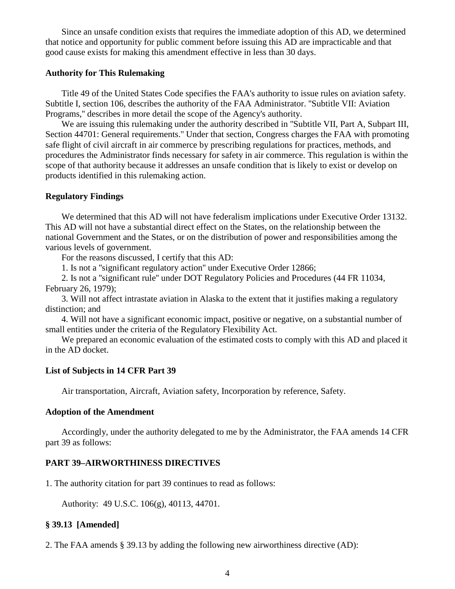Since an unsafe condition exists that requires the immediate adoption of this AD, we determined that notice and opportunity for public comment before issuing this AD are impracticable and that good cause exists for making this amendment effective in less than 30 days.

#### **Authority for This Rulemaking**

Title 49 of the United States Code specifies the FAA's authority to issue rules on aviation safety. Subtitle I, section 106, describes the authority of the FAA Administrator. ''Subtitle VII: Aviation Programs,'' describes in more detail the scope of the Agency's authority.

We are issuing this rulemaking under the authority described in "Subtitle VII, Part A, Subpart III, Section 44701: General requirements.'' Under that section, Congress charges the FAA with promoting safe flight of civil aircraft in air commerce by prescribing regulations for practices, methods, and procedures the Administrator finds necessary for safety in air commerce. This regulation is within the scope of that authority because it addresses an unsafe condition that is likely to exist or develop on products identified in this rulemaking action.

#### **Regulatory Findings**

We determined that this AD will not have federalism implications under Executive Order 13132. This AD will not have a substantial direct effect on the States, on the relationship between the national Government and the States, or on the distribution of power and responsibilities among the various levels of government.

For the reasons discussed, I certify that this AD:

1. Is not a ''significant regulatory action'' under Executive Order 12866;

2. Is not a ''significant rule'' under DOT Regulatory Policies and Procedures (44 FR 11034, February 26, 1979);

3. Will not affect intrastate aviation in Alaska to the extent that it justifies making a regulatory distinction; and

4. Will not have a significant economic impact, positive or negative, on a substantial number of small entities under the criteria of the Regulatory Flexibility Act.

We prepared an economic evaluation of the estimated costs to comply with this AD and placed it in the AD docket.

#### **List of Subjects in 14 CFR Part 39**

Air transportation, Aircraft, Aviation safety, Incorporation by reference, Safety.

#### **Adoption of the Amendment**

Accordingly, under the authority delegated to me by the Administrator, the FAA amends 14 CFR part 39 as follows:

### **PART 39–AIRWORTHINESS DIRECTIVES**

1. The authority citation for part 39 continues to read as follows:

Authority: 49 U.S.C. 106(g), 40113, 44701.

#### **§ 39.13 [Amended]**

2. The FAA amends § 39.13 by adding the following new airworthiness directive (AD):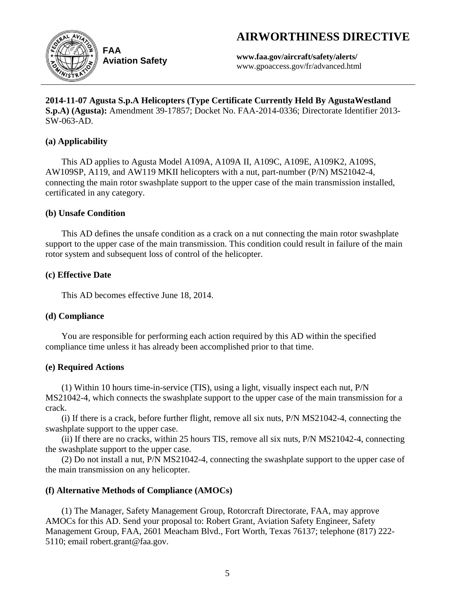# **AIRWORTHINESS DIRECTIVE**



**Aviation Safety**

**www.faa.gov/aircraft/safety/alerts/** www.gpoaccess.gov/fr/advanced.html

**2014-11-07 Agusta S.p.A Helicopters (Type Certificate Currently Held By AgustaWestland S.p.A) (Agusta):** Amendment 39-17857; Docket No. FAA-2014-0336; Directorate Identifier 2013- SW-063-AD.

# **(a) Applicability**

This AD applies to Agusta Model A109A, A109A II, A109C, A109E, A109K2, A109S, AW109SP, A119, and AW119 MKII helicopters with a nut, part-number (P/N) MS21042-4, connecting the main rotor swashplate support to the upper case of the main transmission installed, certificated in any category.

# **(b) Unsafe Condition**

This AD defines the unsafe condition as a crack on a nut connecting the main rotor swashplate support to the upper case of the main transmission. This condition could result in failure of the main rotor system and subsequent loss of control of the helicopter.

# **(c) Effective Date**

This AD becomes effective June 18, 2014.

# **(d) Compliance**

You are responsible for performing each action required by this AD within the specified compliance time unless it has already been accomplished prior to that time.

# **(e) Required Actions**

(1) Within 10 hours time-in-service (TIS), using a light, visually inspect each nut, P/N MS21042-4, which connects the swashplate support to the upper case of the main transmission for a crack.

(i) If there is a crack, before further flight, remove all six nuts, P/N MS21042-4, connecting the swashplate support to the upper case.

(ii) If there are no cracks, within 25 hours TIS, remove all six nuts, P/N MS21042-4, connecting the swashplate support to the upper case.

(2) Do not install a nut, P/N MS21042-4, connecting the swashplate support to the upper case of the main transmission on any helicopter.

# **(f) Alternative Methods of Compliance (AMOCs)**

(1) The Manager, Safety Management Group, Rotorcraft Directorate, FAA, may approve AMOCs for this AD. Send your proposal to: Robert Grant, Aviation Safety Engineer, Safety Management Group, FAA, 2601 Meacham Blvd., Fort Worth, Texas 76137; telephone (817) 222- 5110; email robert.grant@faa.gov.